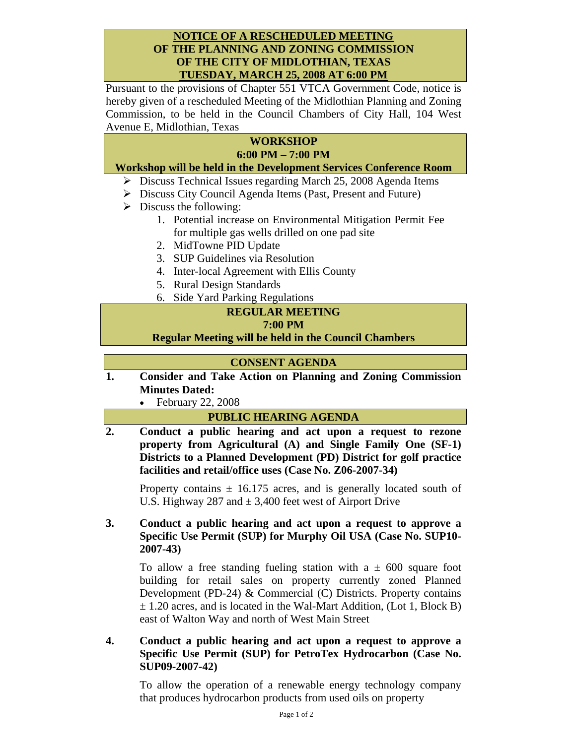#### **NOTICE OF A RESCHEDULED MEETING OF THE PLANNING AND ZONING COMMISSION OF THE CITY OF MIDLOTHIAN, TEXAS TUESDAY, MARCH 25, 2008 AT 6:00 PM**

Pursuant to the provisions of Chapter 551 VTCA Government Code, notice is hereby given of a rescheduled Meeting of the Midlothian Planning and Zoning Commission, to be held in the Council Chambers of City Hall, 104 West Avenue E, Midlothian, Texas

# **WORKSHOP 6:00 PM – 7:00 PM**

# **Workshop will be held in the Development Services Conference Room**

- ¾ Discuss Technical Issues regarding March 25, 2008 Agenda Items
- ¾ Discuss City Council Agenda Items (Past, Present and Future)
- $\triangleright$  Discuss the following:
	- 1. Potential increase on Environmental Mitigation Permit Fee for multiple gas wells drilled on one pad site
	- 2. MidTowne PID Update
	- 3. SUP Guidelines via Resolution
	- 4. Inter-local Agreement with Ellis County
	- 5. Rural Design Standards
	- 6. Side Yard Parking Regulations

# **REGULAR MEETING**

### **7:00 PM**

**Regular Meeting will be held in the Council Chambers** 

# **CONSENT AGENDA**

**1. Consider and Take Action on Planning and Zoning Commission Minutes Dated:** 

• February 22, 2008

# **PUBLIC HEARING AGENDA**

**2. Conduct a public hearing and act upon a request to rezone property from Agricultural (A) and Single Family One (SF-1) Districts to a Planned Development (PD) District for golf practice facilities and retail/office uses (Case No. Z06-2007-34)** 

Property contains  $\pm$  16.175 acres, and is generally located south of U.S. Highway 287 and  $\pm$  3,400 feet west of Airport Drive

# **3. Conduct a public hearing and act upon a request to approve a Specific Use Permit (SUP) for Murphy Oil USA (Case No. SUP10- 2007-43)**

To allow a free standing fueling station with a  $\pm$  600 square foot building for retail sales on property currently zoned Planned Development (PD-24) & Commercial (C) Districts. Property contains  $\pm$  1.20 acres, and is located in the Wal-Mart Addition, (Lot 1, Block B) east of Walton Way and north of West Main Street

**4. Conduct a public hearing and act upon a request to approve a Specific Use Permit (SUP) for PetroTex Hydrocarbon (Case No. SUP09-2007-42)** 

To allow the operation of a renewable energy technology company that produces hydrocarbon products from used oils on property